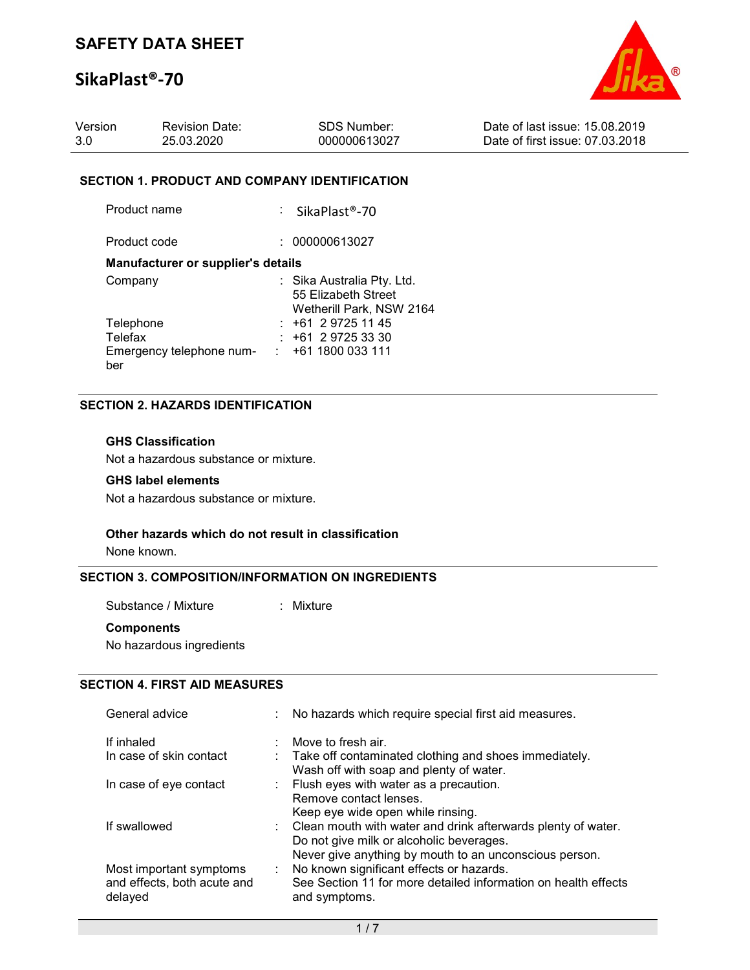# SikaPlast®-70



| Version | <b>Revision Date:</b> | SDS Number:  | Date of last issue: 15,08,2019  |
|---------|-----------------------|--------------|---------------------------------|
| -3.0    | 25.03.2020            | 000000613027 | Date of first issue: 07.03.2018 |

#### SECTION 1. PRODUCT AND COMPANY IDENTIFICATION

| Product name                              | : SikaPlast®-70                                                               |
|-------------------------------------------|-------------------------------------------------------------------------------|
| Product code                              | 000000613027                                                                  |
| <b>Manufacturer or supplier's details</b> |                                                                               |
| Company                                   | : Sika Australia Pty. Ltd.<br>55 Elizabeth Street<br>Wetherill Park, NSW 2164 |
| Telephone                                 | $: +61297251145$                                                              |
| Telefax                                   | $: +61297253330$                                                              |
| Emergency telephone num-                  | $\div$ +61 1800 033 111                                                       |
| ber                                       |                                                                               |

### SECTION 2. HAZARDS IDENTIFICATION

#### GHS Classification

Not a hazardous substance or mixture.

### GHS label elements

Not a hazardous substance or mixture.

#### Other hazards which do not result in classification

None known.

#### SECTION 3. COMPOSITION/INFORMATION ON INGREDIENTS

Substance / Mixture : Mixture

#### **Components**

No hazardous ingredients

## SECTION 4. FIRST AID MEASURES

| General advice                                                    | : No hazards which require special first aid measures.                                                                                                               |
|-------------------------------------------------------------------|----------------------------------------------------------------------------------------------------------------------------------------------------------------------|
| If inhaled                                                        | $\therefore$ Move to fresh air.                                                                                                                                      |
| In case of skin contact                                           | : Take off contaminated clothing and shoes immediately.<br>Wash off with soap and plenty of water.                                                                   |
| In case of eye contact                                            | : Flush eyes with water as a precaution.<br>Remove contact lenses.<br>Keep eye wide open while rinsing.                                                              |
| If swallowed                                                      | : Clean mouth with water and drink afterwards plenty of water.<br>Do not give milk or alcoholic beverages.<br>Never give anything by mouth to an unconscious person. |
| Most important symptoms<br>and effects, both acute and<br>delayed | : No known significant effects or hazards.<br>See Section 11 for more detailed information on health effects<br>and symptoms.                                        |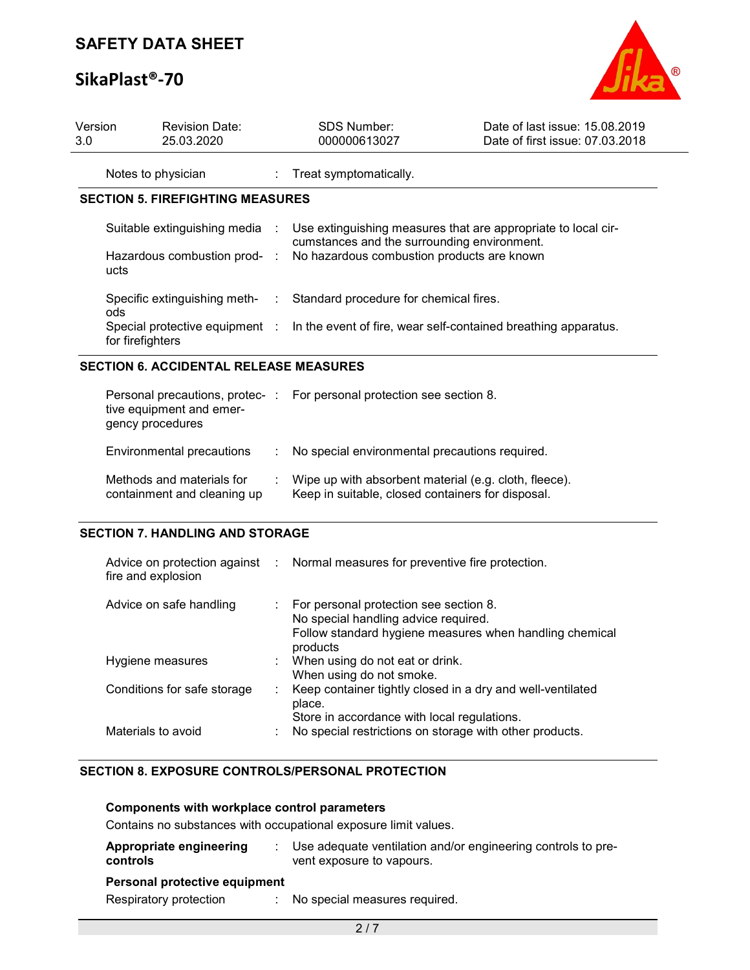# SikaPlast®-70



| <b>SECTION 5. FIREFIGHTING MEASURES</b><br>Suitable extinguishing media : | Treat symptomatically.                                                  |                                                                                                                                                                                                                         |
|---------------------------------------------------------------------------|-------------------------------------------------------------------------|-------------------------------------------------------------------------------------------------------------------------------------------------------------------------------------------------------------------------|
|                                                                           |                                                                         |                                                                                                                                                                                                                         |
|                                                                           |                                                                         |                                                                                                                                                                                                                         |
|                                                                           | cumstances and the surrounding environment.                             | Use extinguishing measures that are appropriate to local cir-                                                                                                                                                           |
|                                                                           | Hazardous combustion prod- : No hazardous combustion products are known |                                                                                                                                                                                                                         |
|                                                                           |                                                                         |                                                                                                                                                                                                                         |
|                                                                           |                                                                         |                                                                                                                                                                                                                         |
|                                                                           |                                                                         | Specific extinguishing meth- : Standard procedure for chemical fires.<br>Special protective equipment : In the event of fire, wear self-contained breathing apparatus.<br><b>SECTION 6. ACCIDENTAL RELEASE MEASURES</b> |

| tive equipment and emer-<br>gency procedures             | <u>i cisoliai precaduolis, protec-</u> Tor personiai protection see section o.                             |
|----------------------------------------------------------|------------------------------------------------------------------------------------------------------------|
| Environmental precautions                                | : No special environmental precautions required.                                                           |
| Methods and materials for<br>containment and cleaning up | Wipe up with absorbent material (e.g. cloth, fleece).<br>Keep in suitable, closed containers for disposal. |

### SECTION 7. HANDLING AND STORAGE

| fire and explosion          | Advice on protection against : Normal measures for preventive fire protection.                                                                          |
|-----------------------------|---------------------------------------------------------------------------------------------------------------------------------------------------------|
| Advice on safe handling     | : For personal protection see section 8.<br>No special handling advice required.<br>Follow standard hygiene measures when handling chemical<br>products |
| Hygiene measures            | : When using do not eat or drink.<br>When using do not smoke.                                                                                           |
| Conditions for safe storage | : Keep container tightly closed in a dry and well-ventilated<br>place.<br>Store in accordance with local regulations.                                   |
| Materials to avoid          | No special restrictions on storage with other products.                                                                                                 |

## SECTION 8. EXPOSURE CONTROLS/PERSONAL PROTECTION

| <b>Components with workplace control parameters</b> |  |
|-----------------------------------------------------|--|
|-----------------------------------------------------|--|

Contains no substances with occupational exposure limit values.

| Appropriate engineering<br>controls                     | Use adequate ventilation and/or engineering controls to pre-<br>vent exposure to vapours. |
|---------------------------------------------------------|-------------------------------------------------------------------------------------------|
| Personal protective equipment<br>Respiratory protection | : No special measures required.                                                           |
|                                                         |                                                                                           |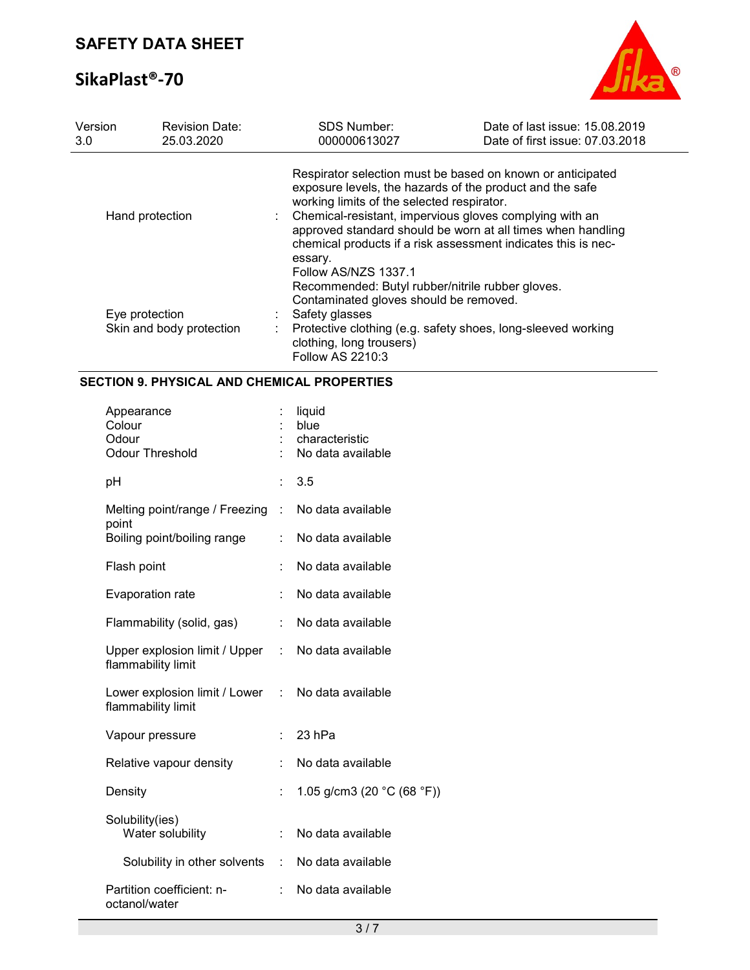# SikaPlast®-70



| Version<br>3.0                             | <b>Revision Date:</b><br>25.03.2020 | SDS Number:<br>000000613027                                                                                                                                                                                                  | Date of last issue: 15.08.2019<br>Date of first issue: 07.03.2018                                                                                                                                                                                                                                                                                               |  |  |
|--------------------------------------------|-------------------------------------|------------------------------------------------------------------------------------------------------------------------------------------------------------------------------------------------------------------------------|-----------------------------------------------------------------------------------------------------------------------------------------------------------------------------------------------------------------------------------------------------------------------------------------------------------------------------------------------------------------|--|--|
| Hand protection                            |                                     | essary.<br>Follow AS/NZS 1337.1                                                                                                                                                                                              | Respirator selection must be based on known or anticipated<br>exposure levels, the hazards of the product and the safe<br>working limits of the selected respirator.<br>Chemical-resistant, impervious gloves complying with an<br>approved standard should be worn at all times when handling<br>chemical products if a risk assessment indicates this is nec- |  |  |
| Eye protection<br>Skin and body protection |                                     | Recommended: Butyl rubber/nitrile rubber gloves.<br>Contaminated gloves should be removed.<br>Safety glasses<br>Protective clothing (e.g. safety shoes, long-sleeved working<br>clothing, long trousers)<br>Follow AS 2210:3 |                                                                                                                                                                                                                                                                                                                                                                 |  |  |

## SECTION 9. PHYSICAL AND CHEMICAL PROPERTIES

| Appearance<br>Colour<br>Odour<br><b>Odour Threshold</b>                 |    | liquid<br>blue<br>characteristic<br>No data available |
|-------------------------------------------------------------------------|----|-------------------------------------------------------|
| pH                                                                      | t. | 3.5                                                   |
| Melting point/range / Freezing : No data available<br>point             |    |                                                       |
| Boiling point/boiling range                                             | t. | No data available                                     |
| Flash point                                                             | ÷  | No data available                                     |
| Evaporation rate                                                        | t. | No data available                                     |
| Flammability (solid, gas)                                               | ÷. | No data available                                     |
| Upper explosion limit / Upper : No data available<br>flammability limit |    |                                                       |
| Lower explosion limit / Lower : No data available<br>flammability limit |    |                                                       |
| Vapour pressure                                                         |    | 23 hPa                                                |
| Relative vapour density                                                 |    | No data available                                     |
| Density                                                                 | t. | 1.05 g/cm3 (20 $°C$ (68 °F))                          |
| Solubility(ies)<br>Water solubility                                     | ÷. | No data available                                     |
| Solubility in other solvents                                            |    | : No data available                                   |
| Partition coefficient: n-<br>octanol/water                              | t. | No data available                                     |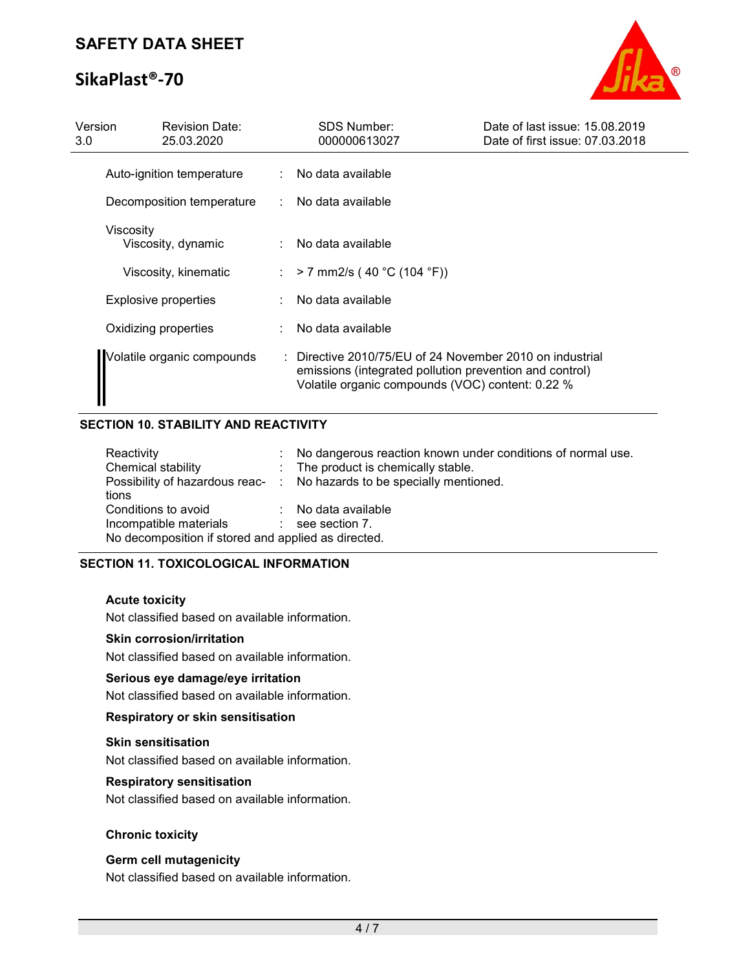# SikaPlast®-70



| Version<br>3.0 | <b>Revision Date:</b><br>25.03.2020 |    | <b>SDS Number:</b><br>000000613027                                                                                                                                    | Date of last issue: 15.08.2019<br>Date of first issue: 07.03.2018 |
|----------------|-------------------------------------|----|-----------------------------------------------------------------------------------------------------------------------------------------------------------------------|-------------------------------------------------------------------|
|                | Auto-ignition temperature           |    | No data available                                                                                                                                                     |                                                                   |
|                | Decomposition temperature<br>÷.     |    | No data available                                                                                                                                                     |                                                                   |
|                | Viscosity<br>Viscosity, dynamic     |    | No data available                                                                                                                                                     |                                                                   |
|                | Viscosity, kinematic                | ÷. | $> 7$ mm2/s (40 °C (104 °F))                                                                                                                                          |                                                                   |
|                | Explosive properties                |    | No data available                                                                                                                                                     |                                                                   |
|                | Oxidizing properties                |    | No data available                                                                                                                                                     |                                                                   |
|                | Volatile organic compounds          |    | Directive 2010/75/EU of 24 November 2010 on industrial<br>emissions (integrated pollution prevention and control)<br>Volatile organic compounds (VOC) content: 0.22 % |                                                                   |

## SECTION 10. STABILITY AND REACTIVITY

| Reactivity                                          | : No dangerous reaction known under conditions of normal use.          |
|-----------------------------------------------------|------------------------------------------------------------------------|
| Chemical stability                                  | : The product is chemically stable.                                    |
|                                                     | Possibility of hazardous reac- : No hazards to be specially mentioned. |
| tions                                               |                                                                        |
| Conditions to avoid                                 | : No data available                                                    |
| Incompatible materials                              | $\therefore$ see section 7.                                            |
| No decomposition if stored and applied as directed. |                                                                        |

### SECTION 11. TOXICOLOGICAL INFORMATION

#### Acute toxicity

Not classified based on available information.

#### Skin corrosion/irritation

Not classified based on available information.

#### Serious eye damage/eye irritation

Not classified based on available information.

#### Respiratory or skin sensitisation

#### Skin sensitisation

Not classified based on available information.

#### Respiratory sensitisation

Not classified based on available information.

#### Chronic toxicity

#### Germ cell mutagenicity

Not classified based on available information.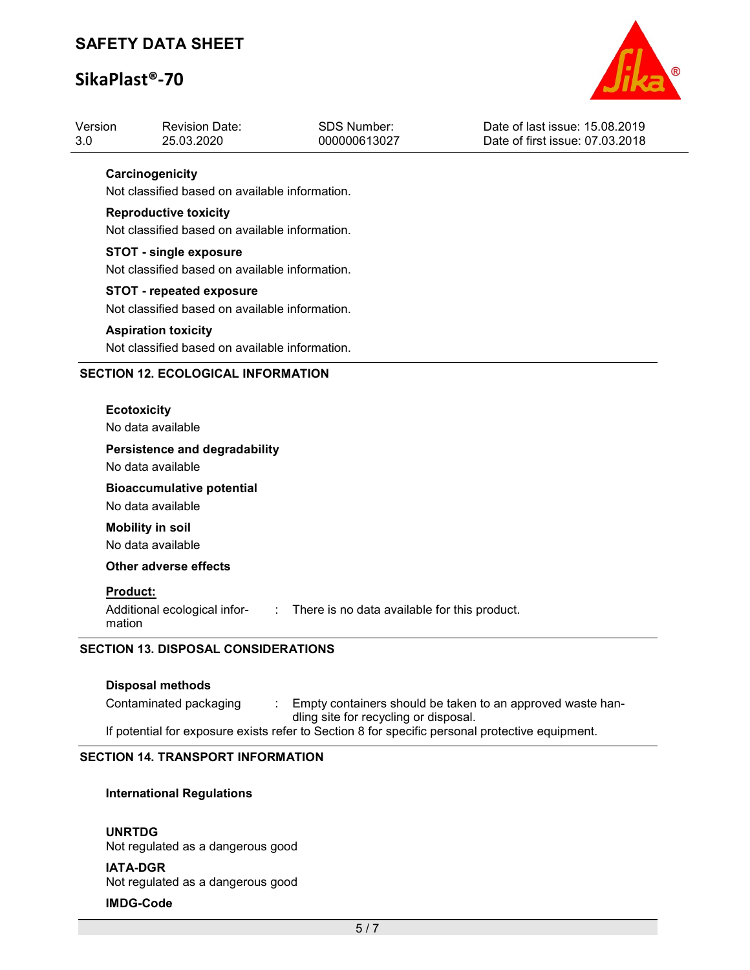# SikaPlast®-70



| Version<br>3.0                             | <b>Revision Date:</b><br>25.03.2020                                                                                                                                                                                                    | <b>SDS Number:</b><br>000000613027             | Date of last issue: 15.08.2019<br>Date of first issue: 07.03.2018 |  |  |  |
|--------------------------------------------|----------------------------------------------------------------------------------------------------------------------------------------------------------------------------------------------------------------------------------------|------------------------------------------------|-------------------------------------------------------------------|--|--|--|
|                                            | Carcinogenicity<br>Not classified based on available information.<br><b>Reproductive toxicity</b><br>Not classified based on available information.<br><b>STOT - single exposure</b><br>Not classified based on available information. |                                                |                                                                   |  |  |  |
|                                            |                                                                                                                                                                                                                                        |                                                |                                                                   |  |  |  |
|                                            |                                                                                                                                                                                                                                        |                                                |                                                                   |  |  |  |
|                                            | <b>STOT - repeated exposure</b><br>Not classified based on available information.<br><b>Aspiration toxicity</b><br>Not classified based on available information.                                                                      |                                                |                                                                   |  |  |  |
|                                            |                                                                                                                                                                                                                                        |                                                |                                                                   |  |  |  |
|                                            | <b>SECTION 12. ECOLOGICAL INFORMATION</b>                                                                                                                                                                                              |                                                |                                                                   |  |  |  |
|                                            | <b>Ecotoxicity</b><br>No data available                                                                                                                                                                                                |                                                |                                                                   |  |  |  |
|                                            | <b>Persistence and degradability</b><br>No data available<br><b>Bioaccumulative potential</b><br>No data available                                                                                                                     |                                                |                                                                   |  |  |  |
|                                            |                                                                                                                                                                                                                                        |                                                |                                                                   |  |  |  |
|                                            | <b>Mobility in soil</b><br>No data available                                                                                                                                                                                           |                                                |                                                                   |  |  |  |
|                                            | <b>Other adverse effects</b>                                                                                                                                                                                                           |                                                |                                                                   |  |  |  |
|                                            | Product:<br>Additional ecological infor-<br>mation                                                                                                                                                                                     | : There is no data available for this product. |                                                                   |  |  |  |
| <b>SECTION 13. DISPOSAL CONSIDERATIONS</b> |                                                                                                                                                                                                                                        |                                                |                                                                   |  |  |  |
|                                            | <b>Disposal methods</b>                                                                                                                                                                                                                |                                                |                                                                   |  |  |  |
|                                            | Contaminated packaging                                                                                                                                                                                                                 | dling site for recycling or disposal.          | Empty containers should be taken to an approved waste han-        |  |  |  |
|                                            | If potential for exposure exists refer to Section 8 for specific personal protective equipment.                                                                                                                                        |                                                |                                                                   |  |  |  |

## SECTION 14. TRANSPORT INFORMATION

## International Regulations

#### UNRTDG

Not regulated as a dangerous good

#### IATA-DGR

Not regulated as a dangerous good

## IMDG-Code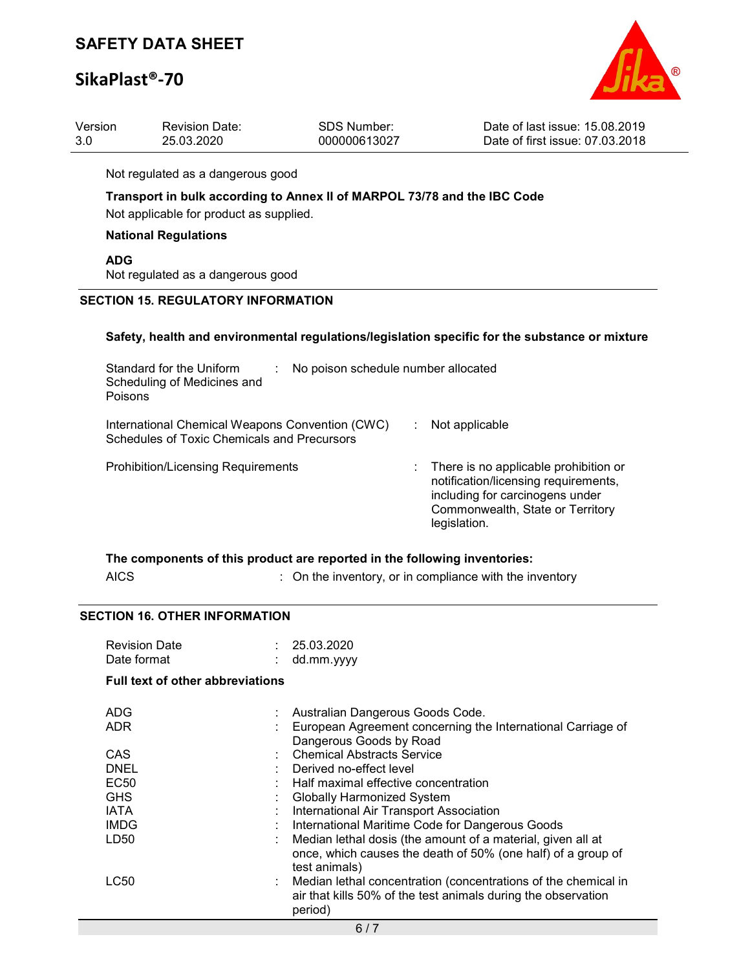# SikaPlast®-70



| Version | <b>Revision Date:</b> | SDS Number:  | Date of last issue: 15.08.2019  |
|---------|-----------------------|--------------|---------------------------------|
| 3.0     | 25.03.2020            | 000000613027 | Date of first issue: 07.03.2018 |
|         |                       |              |                                 |

Not regulated as a dangerous good

## Transport in bulk according to Annex II of MARPOL 73/78 and the IBC Code

Not applicable for product as supplied.

### National Regulations

ADG

Not regulated as a dangerous good

### SECTION 15. REGULATORY INFORMATION

#### Safety, health and environmental regulations/legislation specific for the substance or mixture

| Standard for the Uniform<br>Scheduling of Medicines and<br>Poisons                             | No poison schedule number allocated |                                                                                                                                                                        |  |
|------------------------------------------------------------------------------------------------|-------------------------------------|------------------------------------------------------------------------------------------------------------------------------------------------------------------------|--|
| International Chemical Weapons Convention (CWC)<br>Schedules of Toxic Chemicals and Precursors |                                     | Not applicable                                                                                                                                                         |  |
| <b>Prohibition/Licensing Requirements</b>                                                      |                                     | : There is no applicable prohibition or<br>notification/licensing requirements,<br>including for carcinogens under<br>Commonwealth, State or Territory<br>legislation. |  |

|      | The components of this product are reported in the following inventories: |  |
|------|---------------------------------------------------------------------------|--|
| AICS | $\therefore$ On the inventory, or in compliance with the inventory        |  |

#### SECTION 16. OTHER INFORMATION

| <b>Revision Date</b><br>Date format<br><b>Full text of other abbreviations</b> | : 25.03.2020<br>dd.mm.yyyy                                                                                                                   |  |  |  |
|--------------------------------------------------------------------------------|----------------------------------------------------------------------------------------------------------------------------------------------|--|--|--|
| ADG                                                                            | : Australian Dangerous Goods Code.                                                                                                           |  |  |  |
| <b>ADR</b>                                                                     | European Agreement concerning the International Carriage of<br>Dangerous Goods by Road                                                       |  |  |  |
| CAS                                                                            | <b>Chemical Abstracts Service</b>                                                                                                            |  |  |  |
| DNEL                                                                           | : Derived no-effect level                                                                                                                    |  |  |  |
| EC <sub>50</sub>                                                               | : Half maximal effective concentration                                                                                                       |  |  |  |
| <b>GHS</b>                                                                     | <b>Globally Harmonized System</b>                                                                                                            |  |  |  |
| <b>IATA</b>                                                                    | International Air Transport Association                                                                                                      |  |  |  |
| <b>IMDG</b>                                                                    | International Maritime Code for Dangerous Goods                                                                                              |  |  |  |
| LD50                                                                           | Median lethal dosis (the amount of a material, given all at<br>once, which causes the death of 50% (one half) of a group of<br>test animals) |  |  |  |
| LC50                                                                           | : Median lethal concentration (concentrations of the chemical in<br>air that kills 50% of the test animals during the observation<br>period) |  |  |  |
| 6/7                                                                            |                                                                                                                                              |  |  |  |